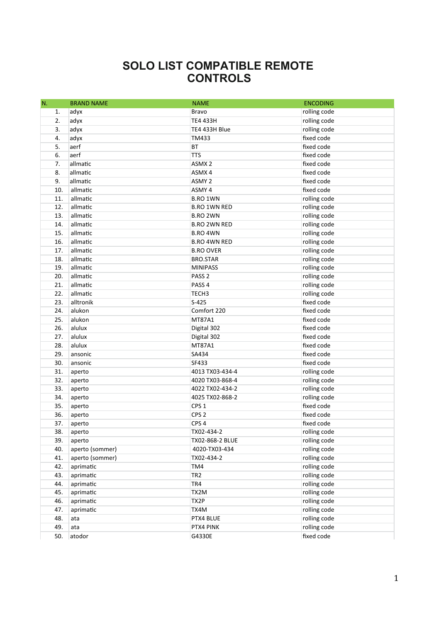## **SOLO LIST COMPATIBLE REMOTE CONTROLS**

| N.  | <b>BRAND NAME</b> | <b>NAME</b>         | <b>ENCODING</b> |
|-----|-------------------|---------------------|-----------------|
| 1.  | adyx              | Bravo               | rolling code    |
| 2.  | adyx              | <b>TE4 433H</b>     | rolling code    |
| 3.  | adyx              | TE4 433H Blue       | rolling code    |
| 4.  | adyx              | TM433               | fixed code      |
| 5.  | aerf              | BT                  | fixed code      |
| 6.  | aerf              | <b>TTS</b>          | fixed code      |
| 7.  | allmatic          | ASMX <sub>2</sub>   | fixed code      |
| 8.  | allmatic          | ASMX4               | fixed code      |
| 9.  | allmatic          | ASMY <sub>2</sub>   | fixed code      |
| 10. | allmatic          | ASMY 4              | fixed code      |
| 11. | allmatic          | <b>B.RO 1WN</b>     | rolling code    |
| 12. | allmatic          | <b>B.RO 1WN RED</b> | rolling code    |
| 13. | allmatic          | <b>B.RO 2WN</b>     | rolling code    |
| 14. | allmatic          | <b>B.RO 2WN RED</b> | rolling code    |
| 15. | allmatic          | <b>B.RO 4WN</b>     | rolling code    |
| 16. | allmatic          | <b>B.RO 4WN RED</b> | rolling code    |
| 17. | allmatic          | <b>B.RO OVER</b>    | rolling code    |
| 18. | allmatic          | <b>BRO.STAR</b>     | rolling code    |
| 19. | allmatic          | <b>MINIPASS</b>     | rolling code    |
| 20. | allmatic          | PASS <sub>2</sub>   | rolling code    |
| 21. | allmatic          | PASS <sub>4</sub>   | rolling code    |
| 22. | allmatic          | TECH <sub>3</sub>   | rolling code    |
| 23. | alltronik         | $S-425$             | fixed code      |
| 24. | alukon            | Comfort 220         | fixed code      |
| 25. | alukon            | MT87A1              | fixed code      |
| 26. | alulux            | Digital 302         | fixed code      |
| 27. | alulux            | Digital 302         | fixed code      |
| 28. | alulux            | MT87A1              | fixed code      |
| 29. | ansonic           | SA434               | fixed code      |
| 30. | ansonic           | SF433               | fixed code      |
| 31. | aperto            | 4013 TX03-434-4     | rolling code    |
| 32. | aperto            | 4020 TX03-868-4     | rolling code    |
| 33. | aperto            | 4022 TX02-434-2     | rolling code    |
| 34. | aperto            | 4025 TX02-868-2     | rolling code    |
| 35. | aperto            | CPS <sub>1</sub>    | fixed code      |
| 36. | aperto            | CPS <sub>2</sub>    | fixed code      |
| 37. | aperto            | CPS <sub>4</sub>    | fixed code      |
| 38. | aperto            | TX02-434-2          | rolling code    |
| 39. | aperto            | TX02-868-2 BLUE     | rolling code    |
| 40. | aperto (sommer)   | 4020-TX03-434       | rolling code    |
| 41. | aperto (sommer)   | TX02-434-2          | rolling code    |
| 42. | aprimatic         | TM4                 | rolling code    |
| 43. | aprimatic         | TR <sub>2</sub>     | rolling code    |
| 44. | aprimatic         | TR4                 | rolling code    |
| 45. | aprimatic         | TX2M                | rolling code    |
| 46. | aprimatic         | TX2P                | rolling code    |
| 47. | aprimatic         | TX4M                | rolling code    |
| 48. | ata               | PTX4 BLUE           | rolling code    |
| 49. | ata               | PTX4 PINK           | rolling code    |
| 50. | atodor            | G4330E              | fixed code      |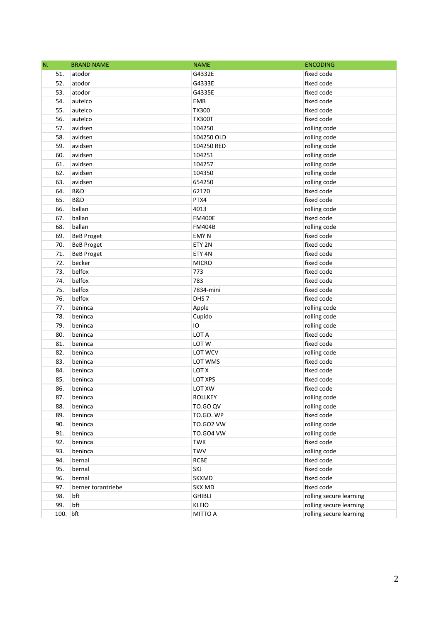| N.       | <b>BRAND NAME</b>  | <b>NAME</b>       | <b>ENCODING</b>         |
|----------|--------------------|-------------------|-------------------------|
| 51.      | atodor             | G4332E            | fixed code              |
| 52.      | atodor             | G4333E            | fixed code              |
| 53.      | atodor             | G4335E            | fixed code              |
| 54.      | autelco            | EMB               | fixed code              |
| 55.      | autelco            | <b>TX300</b>      | fixed code              |
| 56.      | autelco            | <b>TX300T</b>     | fixed code              |
| 57.      | avidsen            | 104250            | rolling code            |
| 58.      | avidsen            | 104250 OLD        | rolling code            |
| 59.      | avidsen            | 104250 RED        | rolling code            |
| 60.      | avidsen            | 104251            | rolling code            |
| 61.      | avidsen            | 104257            | rolling code            |
| 62.      | avidsen            | 104350            | rolling code            |
| 63.      | avidsen            | 654250            | rolling code            |
| 64.      | B&D                | 62170             | fixed code              |
| 65.      | B&D                | PTX4              | fixed code              |
| 66.      | ballan             | 4013              | rolling code            |
| 67.      | ballan             | <b>FM400E</b>     | fixed code              |
| 68.      | ballan             | <b>FM404B</b>     | rolling code            |
| 69.      | <b>BeB Proget</b>  | EMY <sub>N</sub>  | fixed code              |
| 70.      | <b>BeB Proget</b>  | ETY <sub>2N</sub> | fixed code              |
| 71.      | <b>BeB Proget</b>  | ETY 4N            | fixed code              |
| 72.      | becker             | <b>MICRO</b>      | fixed code              |
| 73.      | belfox             | 773               | fixed code              |
| 74.      | belfox             | 783               | fixed code              |
| 75.      | belfox             | 7834-mini         | fixed code              |
| 76.      | belfox             | DHS <sub>7</sub>  | fixed code              |
| 77.      | beninca            | Apple             | rolling code            |
| 78.      | beninca            | Cupido            | rolling code            |
| 79.      | beninca            | IO                | rolling code            |
| 80.      | beninca            | LOT A             | fixed code              |
| 81.      | beninca            | LOT W             | fixed code              |
| 82.      | beninca            | LOT WCV           | rolling code            |
| 83.      | beninca            | LOT WMS           | fixed code              |
| 84.      | beninca            | LOT X             | fixed code              |
| 85.      | beninca            | LOT XPS           | fixed code              |
| 86.      | beninca            | LOT XW            | fixed code              |
| 87.      | beninca            | ROLLKEY           | rolling code            |
| 88.      | beninca            | TO.GO QV          | rolling code            |
| 89.      | beninca            | TO.GO. WP         | fixed code              |
| 90.      | beninca            | <b>TO.GO2 VW</b>  | rolling code            |
| 91.      | beninca            | <b>TO.GO4 VW</b>  | rolling code            |
| 92.      | beninca            | <b>TWK</b>        | fixed code              |
| 93.      | beninca            | TWV               | rolling code            |
| 94.      | bernal             | <b>RCBE</b>       | fixed code              |
| 95.      | bernal             | SKJ               | fixed code              |
| 96.      | bernal             | SKXMD             | fixed code              |
| 97.      | berner torantriebe | SKX MD            | fixed code              |
| 98.      | bft                | <b>GHIBLI</b>     | rolling secure learning |
| 99.      | bft                | <b>KLEIO</b>      | rolling secure learning |
| 100. bft |                    | MITTO A           | rolling secure learning |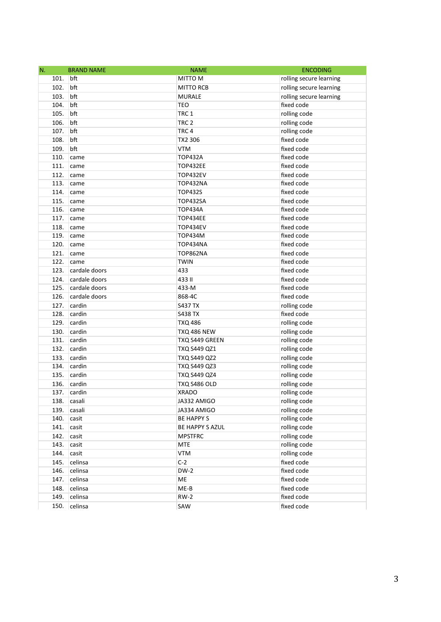| N.       | <b>BRAND NAME</b> | <b>NAME</b>         | <b>ENCODING</b>         |
|----------|-------------------|---------------------|-------------------------|
| 101. bft |                   | MITTO M             | rolling secure learning |
| 102.     | bft               | <b>MITTO RCB</b>    | rolling secure learning |
| 103.     | bft               | <b>MURALE</b>       | rolling secure learning |
| 104.     | bft               | <b>TEO</b>          | fixed code              |
| 105.     | bft               | TRC <sub>1</sub>    | rolling code            |
| 106.     | bft               | TRC <sub>2</sub>    | rolling code            |
| 107.     | bft               | TRC <sub>4</sub>    | rolling code            |
| 108.     | bft               | TX2 306             | fixed code              |
| 109.     | bft               | <b>VTM</b>          | fixed code              |
| 110.     | came              | <b>TOP432A</b>      | fixed code              |
| 111.     | came              | TOP432EE            | fixed code              |
| 112.     | came              | TOP432EV            | fixed code              |
| 113.     | came              | TOP432NA            | fixed code              |
| 114.     | came              | <b>TOP432S</b>      | fixed code              |
| 115.     | came              | <b>TOP432SA</b>     | fixed code              |
| 116.     | came              | <b>TOP434A</b>      | fixed code              |
| 117.     | came              | TOP434EE            | fixed code              |
| 118.     | came              | TOP434EV            | fixed code              |
| 119.     | came              | <b>TOP434M</b>      | fixed code              |
| 120.     | came              | TOP434NA            | fixed code              |
| 121.     | came              | TOP862NA            | fixed code              |
| 122.     | came              | <b>TWIN</b>         | fixed code              |
| 123.     | cardale doors     | 433                 | fixed code              |
| 124.     | cardale doors     | 433 II              | fixed code              |
| 125.     | cardale doors     | 433-M               | fixed code              |
| 126.     | cardale doors     | 868-4C              | fixed code              |
| 127.     | cardin            | <b>S437 TX</b>      | rolling code            |
| 128.     | cardin            | S438 TX             | fixed code              |
| 129.     | cardin            | TXQ 486             | rolling code            |
| 130.     | cardin            | <b>TXQ 486 NEW</b>  | rolling code            |
| 131.     | cardin            | TXQ S449 GREEN      | rolling code            |
| 132.     | cardin            | TXQ S449 QZ1        | rolling code            |
| 133.     | cardin            | TXQ S449 QZ2        | rolling code            |
| 134.     | cardin            | TXQ S449 QZ3        | rolling code            |
| 135.     | cardin            | TXQ S449 QZ4        | rolling code            |
| 136.     | cardin            | <b>TXQ S486 OLD</b> | rolling code            |
| 137.     | cardin            | <b>XRADO</b>        | rolling code            |
| 138.     | casali            | JA332 AMIGO         | rolling code            |
| 139.     | casali            | JA334 AMIGO         | rolling code            |
| 140.     | casit             | <b>BE HAPPY S</b>   | rolling code            |
| 141.     | casit             | BE HAPPY S AZUL     | rolling code            |
| 142.     | casit             | <b>MPSTFRC</b>      | rolling code            |
| 143.     | casit             | <b>MTE</b>          | rolling code            |
| 144.     | casit             | <b>VTM</b>          | rolling code            |
| 145.     | celinsa           | $C-2$               | fixed code              |
| 146.     | celinsa           | $DW-2$              | fixed code              |
| 147.     | celinsa           | ME                  | fixed code              |
| 148.     | celinsa           | $ME-B$              | fixed code              |
| 149.     | celinsa           | $RW-2$              | fixed code              |
| 150.     | celinsa           | SAW                 | fixed code              |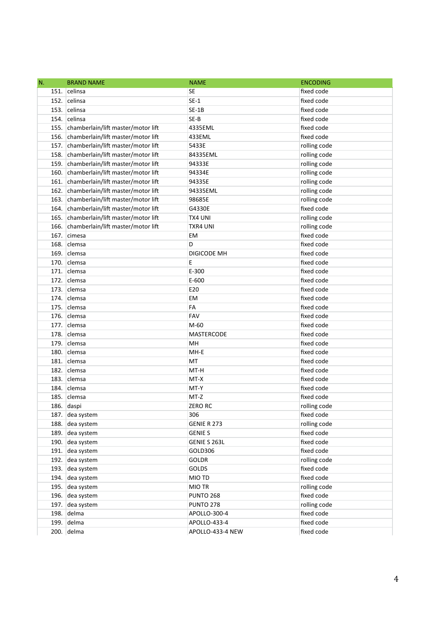| N.   | <b>BRAND NAME</b>                       | <b>NAME</b>                      | <b>ENCODING</b>          |
|------|-----------------------------------------|----------------------------------|--------------------------|
|      | 151. celinsa                            | <b>SE</b>                        | fixed code               |
|      | 152. celinsa                            | $SE-1$                           | fixed code               |
|      | 153. celinsa                            | $SE-1B$                          | fixed code               |
|      | 154. celinsa                            | SE-B                             | fixed code               |
| 155. | chamberlain/lift master/motor lift      | 4335EML                          | fixed code               |
|      | 156. chamberlain/lift master/motor lift | 433EML                           | fixed code               |
|      | 157. chamberlain/lift master/motor lift | 5433E                            | rolling code             |
|      | 158. chamberlain/lift master/motor lift | 84335EML                         | rolling code             |
|      | 159. chamberlain/lift master/motor lift | 94333E                           | rolling code             |
|      | 160. chamberlain/lift master/motor lift | 94334E                           | rolling code             |
|      | 161. chamberlain/lift master/motor lift | 94335E                           | rolling code             |
|      | 162. chamberlain/lift master/motor lift | 94335EML                         | rolling code             |
|      | 163. chamberlain/lift master/motor lift | 98685E                           | rolling code             |
|      | 164. chamberlain/lift master/motor lift | G4330E                           | fixed code               |
|      | 165. chamberlain/lift master/motor lift | <b>TX4 UNI</b>                   | rolling code             |
|      | 166. chamberlain/lift master/motor lift | <b>TXR4 UNI</b>                  | rolling code             |
|      | 167. cimesa                             | EM                               | fixed code               |
|      | 168. clemsa                             | D                                | fixed code               |
|      | 169. clemsa                             | DIGICODE MH                      | fixed code               |
|      | 170. clemsa                             | E                                | fixed code               |
|      | 171. clemsa                             | E-300                            | fixed code               |
|      | 172. clemsa                             | E-600                            | fixed code               |
|      | 173. clemsa                             | E20                              | fixed code               |
|      | 174. clemsa                             | EM                               | fixed code               |
|      | 175. clemsa                             | FA                               | fixed code               |
|      | 176. clemsa                             | FAV                              | fixed code               |
|      | 177. clemsa                             | M-60                             | fixed code               |
|      | 178. clemsa                             | MASTERCODE                       | fixed code               |
|      | 179. clemsa                             | MH                               | fixed code               |
|      | 180. clemsa                             | MH-E                             | fixed code               |
|      | 181. clemsa                             | MT                               | fixed code               |
|      | 182. clemsa                             | MT-H                             | fixed code               |
|      | 183. clemsa                             | MT-X                             | fixed code               |
|      | 184. clemsa                             | MT-Y                             | fixed code               |
|      | 185. clemsa                             | MT-Z                             | fixed code               |
|      | 186. daspi                              | <b>ZERO RC</b>                   | rolling code             |
|      | 187. dea system                         | 306                              | fixed code               |
|      | 188. dea system                         | <b>GENIE R 273</b>               | rolling code             |
|      | 189. dea system                         | <b>GENIE S</b>                   | fixed code               |
|      | 190. dea system                         | GENIE S 263L                     | fixed code               |
|      | 191. dea system                         | GOLD306                          | fixed code               |
|      | 192. dea system                         | <b>GOLDR</b>                     | rolling code             |
|      | 193. dea system                         | GOLDS                            | fixed code               |
|      | 194. dea system                         | MIO TD                           | fixed code               |
|      | 195. dea system                         | MIO TR                           | rolling code             |
|      | 196. dea system                         | <b>PUNTO 268</b>                 | fixed code               |
|      | 197. dea system                         | <b>PUNTO 278</b>                 | rolling code             |
|      | 198. delma                              | APOLLO-300-4                     | fixed code<br>fixed code |
|      | 199. delma<br>200. delma                | APOLLO-433-4<br>APOLLO-433-4 NEW | fixed code               |
|      |                                         |                                  |                          |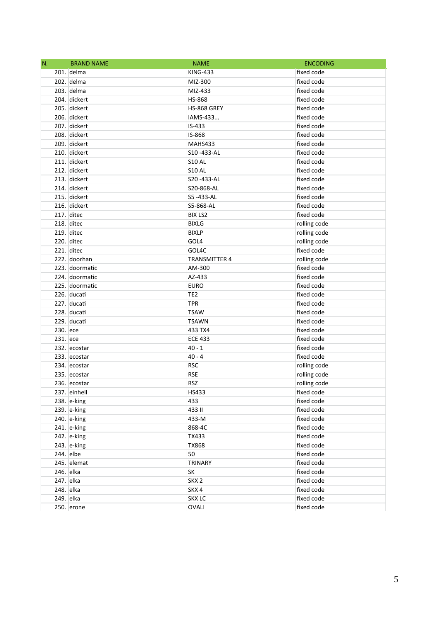| N.        | <b>BRAND NAME</b> | <b>NAME</b>          | <b>ENCODING</b> |
|-----------|-------------------|----------------------|-----------------|
|           | 201. delma        | <b>KING-433</b>      | fixed code      |
|           | 202. delma        | MIZ-300              | fixed code      |
|           | 203. delma        | MIZ-433              | fixed code      |
|           | 204. dickert      | <b>HS-868</b>        | fixed code      |
|           | 205. dickert      | HS-868 GREY          | fixed code      |
|           | 206. dickert      | IAMS-433             | fixed code      |
|           | 207. dickert      | IS-433               | fixed code      |
|           | 208. dickert      | IS-868               | fixed code      |
|           | 209. dickert      | MAHS433              | fixed code      |
|           | 210. dickert      | S10-433-AL           | fixed code      |
|           | 211. dickert      | <b>S10 AL</b>        | fixed code      |
|           | 212. dickert      | <b>S10 AL</b>        | fixed code      |
|           | 213. dickert      | S20-433-AL           | fixed code      |
|           | 214. dickert      | S20-868-AL           | fixed code      |
|           | 215. dickert      | S5-433-AL            | fixed code      |
|           | 216. dickert      | S5-868-AL            | fixed code      |
|           | 217. ditec        | <b>BIX LS2</b>       | fixed code      |
|           | 218. ditec        | <b>BIXLG</b>         | rolling code    |
|           | $219.$ ditec      | <b>BIXLP</b>         | rolling code    |
|           | $220.$ ditec      | GOL4                 | rolling code    |
|           | 221. ditec        | GOL4C                | fixed code      |
|           | 222. doorhan      | <b>TRANSMITTER 4</b> | rolling code    |
|           | 223. doormatic    | AM-300               | fixed code      |
|           | 224. doormatic    | AZ-433               | fixed code      |
|           | 225. doormatic    | <b>EURO</b>          | fixed code      |
|           | 226. ducati       | TE <sub>2</sub>      | fixed code      |
|           | 227. ducati       | <b>TPR</b>           | fixed code      |
|           | 228. ducati       | <b>TSAW</b>          | fixed code      |
|           | 229. ducati       | <b>TSAWN</b>         | fixed code      |
| 230. ece  |                   | 433 TX4              | fixed code      |
| 231. ece  |                   | <b>ECE 433</b>       | fixed code      |
|           | 232. ecostar      | $40 - 1$             | fixed code      |
|           | 233. ecostar      | $40 - 4$             | fixed code      |
|           | 234. ecostar      | <b>RSC</b>           | rolling code    |
|           | 235. ecostar      | <b>RSE</b>           | rolling code    |
|           | 236. ecostar      | <b>RSZ</b>           | rolling code    |
|           | 237. einhell      | HS433                | fixed code      |
|           | 238. e-king       | 433                  | fixed code      |
|           | 239. e-king       | 433 II               | fixed code      |
|           | 240. e-king       | 433-M                | fixed code      |
|           | 241. e-king       | 868-4C               | fixed code      |
|           | 242. e-king       | <b>TX433</b>         | fixed code      |
|           | 243. e-king       | <b>TX868</b>         | fixed code      |
| 244. elbe |                   | 50                   | fixed code      |
|           | 245. elemat       | <b>TRINARY</b>       | fixed code      |
| 246. elka |                   | SK                   | fixed code      |
| 247. elka |                   | SKX <sub>2</sub>     | fixed code      |
| 248. elka |                   | SKX4                 | fixed code      |
| 249. elka |                   | <b>SKX LC</b>        | fixed code      |
|           | 250. erone        | <b>OVALI</b>         | fixed code      |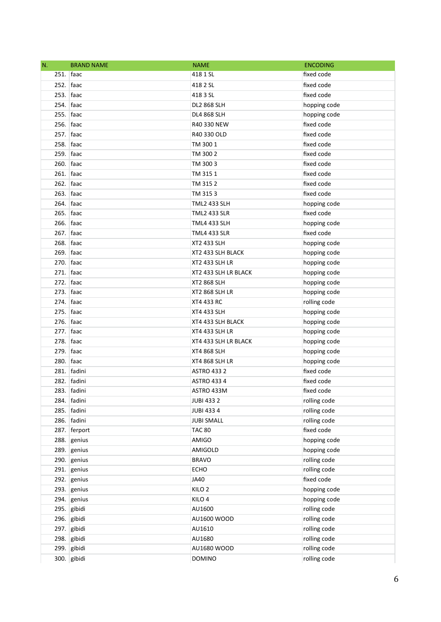| N.          | <b>BRAND NAME</b> | <b>NAME</b>           | <b>ENCODING</b> |
|-------------|-------------------|-----------------------|-----------------|
| $251.$ faac |                   | 418 1 SL              | fixed code      |
| $252.$ faac |                   | 418 2 SL              | fixed code      |
| 253. faac   |                   | 418 3 SL              | fixed code      |
| 254. faac   |                   | <b>DL2 868 SLH</b>    | hopping code    |
| 255. faac   |                   | DL4 868 SLH           | hopping code    |
| 256. faac   |                   | R40 330 NEW           | fixed code      |
| 257. faac   |                   | R40 330 OLD           | fixed code      |
| 258. faac   |                   | TM 300 1              | fixed code      |
| 259. faac   |                   | TM 300 2              | fixed code      |
| 260. faac   |                   | TM 300 3              | fixed code      |
| 261. faac   |                   | TM 3151               | fixed code      |
| 262. faac   |                   | TM 315 2              | fixed code      |
| 263. faac   |                   | TM 3153               | fixed code      |
| 264. faac   |                   | <b>TML2 433 SLH</b>   | hopping code    |
| 265. faac   |                   | <b>TML2 433 SLR</b>   | fixed code      |
| 266. faac   |                   | <b>TML4 433 SLH</b>   | hopping code    |
| 267. faac   |                   | <b>TML4 433 SLR</b>   | fixed code      |
| 268. faac   |                   | <b>XT2 433 SLH</b>    | hopping code    |
| 269. faac   |                   | XT2 433 SLH BLACK     | hopping code    |
| 270. faac   |                   | XT2 433 SLH LR        | hopping code    |
| 271. faac   |                   | XT2 433 SLH LR BLACK  | hopping code    |
| 272. faac   |                   | <b>XT2 868 SLH</b>    | hopping code    |
| 273. faac   |                   | <b>XT2 868 SLH LR</b> | hopping code    |
| $274.$ faac |                   | XT4 433 RC            | rolling code    |
| 275. faac   |                   | XT4 433 SLH           | hopping code    |
| 276. faac   |                   | XT4 433 SLH BLACK     | hopping code    |
| 277. faac   |                   | <b>XT4 433 SLH LR</b> | hopping code    |
| 278. faac   |                   | XT4 433 SLH LR BLACK  | hopping code    |
| 279. faac   |                   | <b>XT4 868 SLH</b>    | hopping code    |
| 280. faac   |                   | <b>XT4 868 SLH LR</b> | hopping code    |
|             | 281. fadini       | <b>ASTRO 433 2</b>    | fixed code      |
|             | 282. fadini       | <b>ASTRO 433 4</b>    | fixed code      |
|             | 283. fadini       | ASTRO 433M            | fixed code      |
|             | 284. fadini       | <b>JUBI 4332</b>      | rolling code    |
|             | 285. fadini       | <b>JUBI 4334</b>      | rolling code    |
|             | 286. fadini       | <b>JUBI SMALL</b>     | rolling code    |
|             | 287. ferport      | <b>TAC 80</b>         | fixed code      |
|             | 288. genius       | <b>AMIGO</b>          | hopping code    |
|             | 289. genius       | AMIGOLD               | hopping code    |
|             | 290. genius       | <b>BRAVO</b>          | rolling code    |
|             | 291. genius       | ECHO                  | rolling code    |
|             | 292. genius       | <b>JA40</b>           | fixed code      |
|             | 293. genius       | KILO <sub>2</sub>     | hopping code    |
|             | 294. genius       | KILO 4                | hopping code    |
|             | 295. gibidi       | AU1600                | rolling code    |
|             | 296. gibidi       | AU1600 WOOD           | rolling code    |
|             | 297. gibidi       | AU1610                | rolling code    |
|             | 298. gibidi       | AU1680                | rolling code    |
|             | 299. gibidi       | AU1680 WOOD           | rolling code    |
|             | 300. gibidi       | <b>DOMINO</b>         | rolling code    |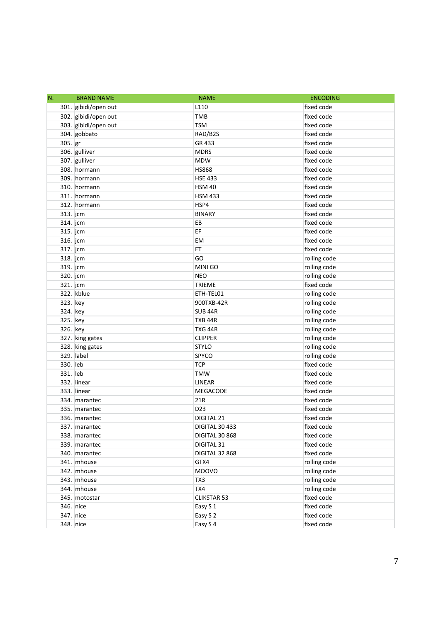| N.        | <b>BRAND NAME</b>              | <b>NAME</b>                         | <b>ENCODING</b>          |
|-----------|--------------------------------|-------------------------------------|--------------------------|
|           | 301. gibidi/open out           | L110                                | fixed code               |
|           | 302. gibidi/open out           | TMB                                 | fixed code               |
|           | 303. gibidi/open out           | <b>TSM</b>                          | fixed code               |
|           | 304. gobbato                   | RAD/B2S                             | fixed code               |
| 305. gr   |                                | GR 433                              | fixed code               |
|           | 306. gulliver                  | <b>MDRS</b>                         | fixed code               |
|           | 307. gulliver                  | <b>MDW</b>                          | fixed code               |
|           | 308. hormann                   | <b>HS868</b>                        | fixed code               |
|           | 309. hormann                   | <b>HSE 433</b>                      | fixed code               |
|           | 310. hormann                   | <b>HSM 40</b>                       | fixed code               |
|           | 311. hormann                   | <b>HSM 433</b>                      | fixed code               |
|           | 312. hormann                   | HSP4                                | fixed code               |
| 313. jcm  |                                | <b>BINARY</b>                       | fixed code               |
| 314. jcm  |                                | EB                                  | fixed code               |
| 315. jcm  |                                | EF                                  | fixed code               |
| 316. jcm  |                                | EМ                                  | fixed code               |
| 317. jcm  |                                | ET                                  | fixed code               |
| 318. jcm  |                                | GO                                  | rolling code             |
| 319. jcm  |                                | MINI GO                             | rolling code             |
| 320. jcm  |                                | <b>NEO</b>                          | rolling code             |
| 321. jcm  |                                | <b>TRIEME</b>                       | fixed code               |
|           | 322. kblue                     | ETH-TEL01                           | rolling code             |
| 323. key  |                                | 900TXB-42R                          | rolling code             |
| 324. key  |                                | <b>SUB 44R</b>                      | rolling code             |
| 325. key  |                                | <b>TXB 44R</b>                      | rolling code             |
| 326. key  |                                | TXG 44R                             | rolling code             |
|           | 327. king gates                | <b>CLIPPER</b>                      | rolling code             |
|           | 328. king gates                | <b>STYLO</b>                        | rolling code             |
|           | 329. label                     | SPYCO                               | rolling code             |
| 330. leb  |                                | <b>TCP</b>                          | fixed code               |
| 331. leb  |                                | <b>TMW</b>                          | fixed code               |
|           | 332. linear                    | LINEAR                              | fixed code               |
|           | 333. linear                    | MEGACODE                            | fixed code               |
|           | 334. marantec                  | 21R                                 | fixed code               |
|           | 335. marantec                  | D23                                 | fixed code               |
|           | 336. marantec                  | DIGITAL 21                          | fixed code               |
|           | 337. marantec                  | <b>DIGITAL 30 433</b>               | fixed code<br>fixed code |
|           | 338. marantec<br>339. marantec | <b>DIGITAL 30 868</b><br>DIGITAL 31 | fixed code               |
|           | 340. marantec                  | DIGITAL 32 868                      | fixed code               |
|           | 341. mhouse                    | GTX4                                | rolling code             |
|           | 342. mhouse                    | <b>MOOVO</b>                        | rolling code             |
|           | 343. mhouse                    | TX3                                 | rolling code             |
|           | 344. mhouse                    | TX4                                 | rolling code             |
|           |                                | <b>CLIKSTAR 53</b>                  | fixed code               |
| 346. nice | 345. motostar                  | Easy S 1                            | fixed code               |
| 347. nice |                                | Easy S 2                            | fixed code               |
| 348. nice |                                | Easy S 4                            | fixed code               |
|           |                                |                                     |                          |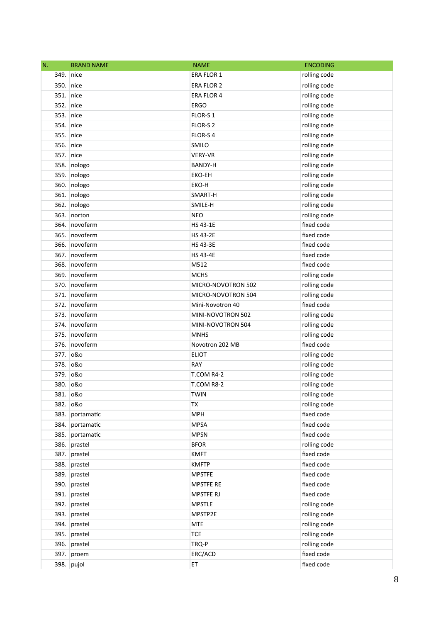| N.        | <b>BRAND NAME</b>     | <b>NAME</b>         | <b>ENCODING</b>              |
|-----------|-----------------------|---------------------|------------------------------|
| 349. nice |                       | ERA FLOR 1          | rolling code                 |
| 350. nice |                       | <b>ERA FLOR 2</b>   | rolling code                 |
| 351. nice |                       | <b>ERA FLOR 4</b>   | rolling code                 |
| 352. nice |                       | <b>ERGO</b>         | rolling code                 |
| 353. nice |                       | FLOR-S1             | rolling code                 |
| 354. nice |                       | FLOR-S <sub>2</sub> | rolling code                 |
| 355. nice |                       | FLOR-S4             | rolling code                 |
| 356. nice |                       | SMILO               | rolling code                 |
| 357. nice |                       | <b>VERY-VR</b>      | rolling code                 |
|           | 358. nologo           | BANDY-H             | rolling code                 |
|           | 359. nologo           | EKO-EH              | rolling code                 |
|           | 360. nologo           | EKO-H               | rolling code                 |
|           | 361. nologo           | SMART-H             | rolling code                 |
|           | 362. nologo           | SMILE-H             | rolling code                 |
|           | 363. norton           | <b>NEO</b>          | rolling code                 |
|           | 364. novoferm         | <b>HS 43-1E</b>     | fixed code                   |
|           | 365. novoferm         | <b>HS 43-2E</b>     | fixed code                   |
|           | 366. novoferm         | <b>HS 43-3E</b>     | fixed code                   |
|           | 367. novoferm         | <b>HS 43-4E</b>     | fixed code                   |
|           | 368. novoferm         | M512                | fixed code                   |
|           | 369. novoferm         | <b>MCHS</b>         | rolling code                 |
|           | 370. novoferm         | MICRO-NOVOTRON 502  | rolling code                 |
|           | 371. novoferm         | MICRO-NOVOTRON 504  | rolling code                 |
|           | 372. novoferm         | Mini-Novotron 40    | fixed code                   |
|           | 373. novoferm         | MINI-NOVOTRON 502   | rolling code                 |
|           | 374. novoferm         | MINI-NOVOTRON 504   | rolling code                 |
|           | 375. novoferm         | <b>MNHS</b>         | rolling code                 |
|           | 376. novoferm         | Novotron 202 MB     | fixed code                   |
| 377. 0&o  |                       | <b>ELIOT</b>        | rolling code                 |
| 378. 0&o  |                       | <b>RAY</b>          | rolling code                 |
| 379. 0&o  |                       | T.COM R4-2          | rolling code                 |
| 380. 0&o  |                       | <b>T.COM R8-2</b>   | rolling code                 |
| 381. 0&0  |                       | TWIN                | rolling code                 |
| 382. 0&0  |                       | <b>TX</b>           | rolling code                 |
| 383.      | portamatic            | <b>MPH</b>          | fixed code                   |
| 384.      | portamatic            | <b>MPSA</b>         | fixed code                   |
|           | 385. portamatic       | <b>MPSN</b>         | fixed code                   |
| 386.      | prastel               | <b>BFOR</b>         | rolling code                 |
|           | 387. prastel          | <b>KMFT</b>         | fixed code                   |
| 388.      | prastel               | <b>KMFTP</b>        | fixed code                   |
| 389.      | prastel               | <b>MPSTFE</b>       | fixed code                   |
| 390.      | prastel               | <b>MPSTFE RE</b>    | fixed code                   |
| 391.      | prastel               | <b>MPSTFE RJ</b>    | fixed code                   |
| 392.      | prastel               | <b>MPSTLE</b>       | rolling code                 |
|           | 393. prastel          | MPSTP2E             | rolling code                 |
| 394.      | prastel               | <b>MTE</b>          | rolling code                 |
|           | 395. prastel          | <b>TCE</b>          | rolling code<br>rolling code |
| 396.      | prastel<br>397. proem | TRQ-P<br>ERC/ACD    | fixed code                   |
|           |                       |                     |                              |
|           | 398. pujol            | ET                  | fixed code                   |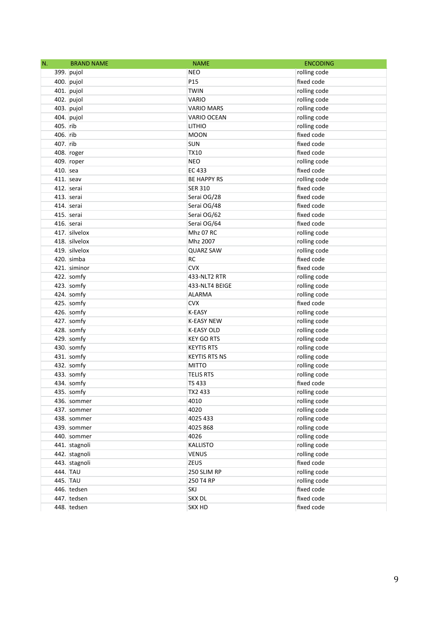| N.         | <b>BRAND NAME</b> | <b>NAME</b>          | <b>ENCODING</b> |
|------------|-------------------|----------------------|-----------------|
|            | 399. pujol        | <b>NEO</b>           | rolling code    |
|            | 400. pujol        | P15                  | fixed code      |
|            | 401. pujol        | <b>TWIN</b>          | rolling code    |
|            | 402. pujol        | VARIO                | rolling code    |
|            | 403. pujol        | <b>VARIO MARS</b>    | rolling code    |
|            | 404. pujol        | VARIO OCEAN          | rolling code    |
| 405. rib   |                   | LITHIO               | rolling code    |
| 406. rib   |                   | <b>MOON</b>          | fixed code      |
| 407. rib   |                   | <b>SUN</b>           | fixed code      |
|            | 408. roger        | <b>TX10</b>          | fixed code      |
|            | 409. roper        | <b>NEO</b>           | rolling code    |
| 410. sea   |                   | EC 433               | fixed code      |
| 411. seav  |                   | <b>BE HAPPY RS</b>   | rolling code    |
| 412. serai |                   | <b>SER 310</b>       | fixed code      |
| 413. serai |                   | Serai OG/28          | fixed code      |
| 414. serai |                   | Serai OG/48          | fixed code      |
| 415. serai |                   | Serai OG/62          | fixed code      |
| 416. serai |                   | Serai OG/64          | fixed code      |
|            | 417. silvelox     | Mhz 07 RC            | rolling code    |
|            | 418. silvelox     | Mhz 2007             | rolling code    |
|            | 419. silvelox     | <b>QUARZ SAW</b>     | rolling code    |
|            | 420. simba        | RC                   | fixed code      |
|            | 421. siminor      | <b>CVX</b>           | fixed code      |
|            | 422. somfy        | 433-NLT2 RTR         | rolling code    |
|            | 423. somfy        | 433-NLT4 BEIGE       | rolling code    |
|            | 424. somfy        | ALARMA               | rolling code    |
|            | 425. somfy        | <b>CVX</b>           | fixed code      |
|            | 426. somfy        | K-EASY               | rolling code    |
|            | 427. somfy        | <b>K-EASY NEW</b>    | rolling code    |
|            | 428. somfy        | <b>K-EASY OLD</b>    | rolling code    |
|            | 429. somfy        | <b>KEY GO RTS</b>    | rolling code    |
|            | 430. somfy        | <b>KEYTIS RTS</b>    | rolling code    |
|            | 431. somfy        | <b>KEYTIS RTS NS</b> | rolling code    |
|            | 432. somfy        | <b>MITTO</b>         | rolling code    |
|            | 433. somfy        | <b>TELIS RTS</b>     | rolling code    |
|            | 434. somfy        | TS 433               | fixed code      |
|            | 435. somfy        | TX2 433              | rolling code    |
|            | 436. sommer       | 4010                 | rolling code    |
|            | 437. sommer       | 4020                 | rolling code    |
|            | 438. sommer       | 4025 433             | rolling code    |
|            | 439. sommer       | 4025 868             | rolling code    |
|            | 440. sommer       | 4026                 | rolling code    |
|            | 441. stagnoli     | KALLISTO             | rolling code    |
|            | 442. stagnoli     | <b>VENUS</b>         | rolling code    |
|            | 443. stagnoli     | ZEUS                 | fixed code      |
| 444. TAU   |                   | 250 SLIM RP          | rolling code    |
| 445. TAU   |                   | 250 T4 RP            | rolling code    |
|            | 446. tedsen       | SKJ                  | fixed code      |
|            | 447. tedsen       | SKX DL               | fixed code      |
|            | 448. tedsen       | SKX HD               | fixed code      |